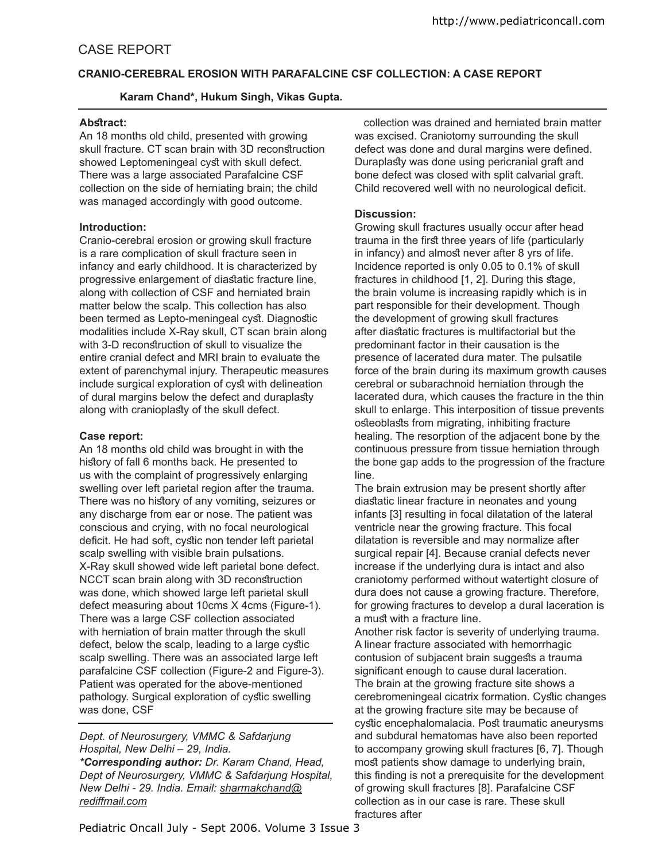# **CRANIO-CEREBRAL EROSION WITH PARAFALCINE CSF COLLECTION: A CASE REPORT**

# **Karam Chand\*, Hukum Singh, Vikas Gupta.**

#### Abstract:

An 18 months old child, presented with growing skull fracture. CT scan brain with 3D reconstruction showed Leptomeningeal cyst with skull defect. There was a large associated Parafalcine CSF collection on the side of herniating brain; the child was managed accordingly with good outcome.

## **Introduction:**

Cranio-cerebral erosion or growing skull fracture is a rare complication of skull fracture seen in infancy and early childhood. It is characterized by progressive enlargement of diastatic fracture line, along with collection of CSF and herniated brain matter below the scalp. This collection has also been termed as Lepto-meningeal cyst. Diagnostic modalities include X-Ray skull, CT scan brain along with 3-D reconstruction of skull to visualize the entire cranial defect and MRI brain to evaluate the extent of parenchymal injury. Therapeutic measures include surgical exploration of cyst with delineation of dural margins below the defect and duraplasty along with cranioplasty of the skull defect.

## **Case report:**

An 18 months old child was brought in with the history of fall 6 months back. He presented to us with the complaint of progressively enlarging swelling over left parietal region after the trauma. There was no history of any vomiting, seizures or any discharge from ear or nose. The patient was conscious and crying, with no focal neurological deficit. He had soft, cystic non tender left parietal scalp swelling with visible brain pulsations. X-Ray skull showed wide left parietal bone defect. NCCT scan brain along with 3D reconstruction was done, which showed large left parietal skull defect measuring about 10cms X 4cms (Figure-1). There was a large CSF collection associated with herniation of brain matter through the skull defect, below the scalp, leading to a large cystic scalp swelling. There was an associated large left parafalcine CSF collection (Figure-2 and Figure-3). Patient was operated for the above-mentioned pathology. Surgical exploration of cystic swelling was done, CSF

#### *Dept. of Neurosurgery, VMMC & Safdarjung Hospital, New Delhi – 29, India.*

*\*Corresponding author: Dr. Karam Chand, Head, Dept of Neurosurgery, VMMC & Safdarjung Hospital, New Delhi - 29. India. Email: sharmakchand@ redifmail.com*

 collection was drained and herniated brain matter was excised. Craniotomy surrounding the skull defect was done and dural margins were defined. Duraplaty was done using pericranial graft and bone defect was closed with split calvarial graft. Child recovered well with no neurological deficit.

# **Discussion:**

Growing skull fractures usually occur after head trauma in the first three years of life (particularly in infancy) and almost never after 8 yrs of life. Incidence reported is only 0.05 to 0.1% of skull fractures in childhood [1, 2]. During this stage, the brain volume is increasing rapidly which is in part responsible for their development. Though the development of growing skull fractures after diastatic fractures is multifactorial but the predominant factor in their causation is the presence of lacerated dura mater. The pulsatile force of the brain during its maximum growth causes cerebral or subarachnoid herniation through the lacerated dura, which causes the fracture in the thin skull to enlarge. This interposition of tissue prevents osteoblasts from migrating, inhibiting fracture healing. The resorption of the adjacent bone by the continuous pressure from tissue herniation through the bone gap adds to the progression of the fracture line.

The brain extrusion may be present shortly after diastatic linear fracture in neonates and young infants [3] resulting in focal dilatation of the lateral ventricle near the growing fracture. This focal dilatation is reversible and may normalize after surgical repair [4]. Because cranial defects never increase if the underlying dura is intact and also craniotomy performed without watertight closure of dura does not cause a growing fracture. Therefore, for growing fractures to develop a dural laceration is a must with a fracture line.

Another risk factor is severity of underlying trauma. A linear fracture associated with hemorrhagic contusion of subjacent brain suggests a trauma significant enough to cause dural laceration. The brain at the growing fracture site shows a cerebromeningeal cicatrix formation. Cystic changes at the growing fracture site may be because of cystic encephalomalacia. Post traumatic aneurysms and subdural hematomas have also been reported to accompany growing skull fractures [6, 7]. Though most patients show damage to underlying brain, this finding is not a prerequisite for the development of growing skull fractures [8]. Parafalcine CSF collection as in our case is rare. These skull fractures after